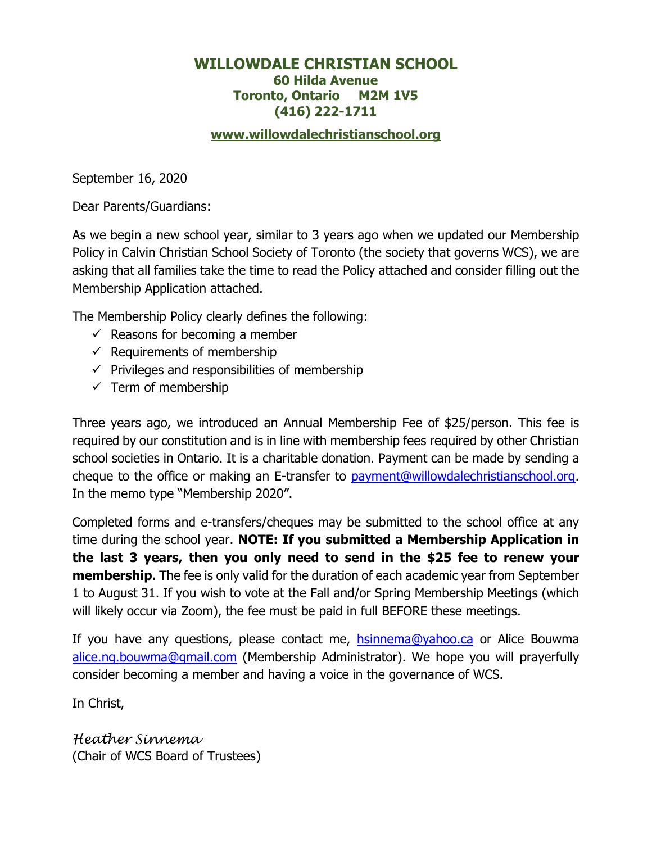# **WILLOWDALE CHRISTIAN SCHOOL 60 Hilda Avenue Toronto, Ontario M2M 1V5 (416) 222-1711**

# **[www.willowdalechristianschool.org](http://www.willowdalechristianschool.org/)**

September 16, 2020

Dear Parents/Guardians:

As we begin a new school year, similar to 3 years ago when we updated our Membership Policy in Calvin Christian School Society of Toronto (the society that governs WCS), we are asking that all families take the time to read the Policy attached and consider filling out the Membership Application attached.

The Membership Policy clearly defines the following:

- $\checkmark$  Reasons for becoming a member
- $\checkmark$  Requirements of membership
- $\checkmark$  Privileges and responsibilities of membership
- $\checkmark$  Term of membership

Three years ago, we introduced an Annual Membership Fee of \$25/person. This fee is required by our constitution and is in line with membership fees required by other Christian school societies in Ontario. It is a charitable donation. Payment can be made by sending a cheque to the office or making an E-transfer to [payment@willowdalechristianschool.org.](mailto:payment@willowdalechristianschool.org) In the memo type "Membership 2020".

Completed forms and e-transfers/cheques may be submitted to the school office at any time during the school year. **NOTE: If you submitted a Membership Application in the last 3 years, then you only need to send in the \$25 fee to renew your membership.** The fee is only valid for the duration of each academic year from September 1 to August 31. If you wish to vote at the Fall and/or Spring Membership Meetings (which will likely occur via Zoom), the fee must be paid in full BEFORE these meetings.

If you have any questions, please contact me, [hsinnema@yahoo.ca](mailto:hsinnema@yahoo.ca) or Alice Bouwma [alice.ng.bouwma@gmail.com](mailto:alice.ng.bouwma@gmail.com) (Membership Administrator). We hope you will prayerfully consider becoming a member and having a voice in the governance of WCS.

In Christ,

*Heather Sinnema* (Chair of WCS Board of Trustees)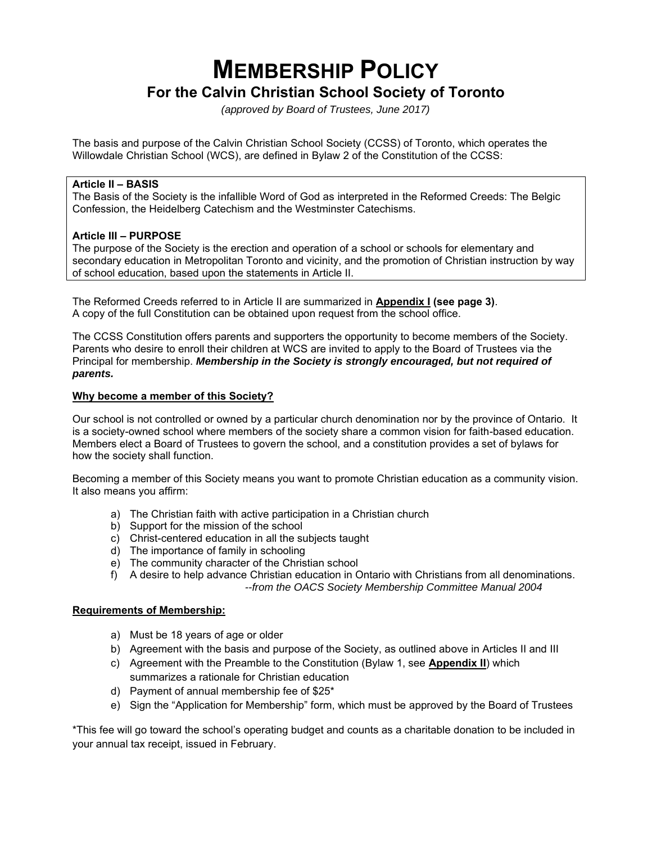# **MEMBERSHIP POLICY For the Calvin Christian School Society of Toronto**

*(approved by Board of Trustees, June 2017)*

The basis and purpose of the Calvin Christian School Society (CCSS) of Toronto, which operates the Willowdale Christian School (WCS), are defined in Bylaw 2 of the Constitution of the CCSS:

#### **Article II – BASIS**

The Basis of the Society is the infallible Word of God as interpreted in the Reformed Creeds: The Belgic Confession, the Heidelberg Catechism and the Westminster Catechisms.

#### **Article III – PURPOSE**

The purpose of the Society is the erection and operation of a school or schools for elementary and secondary education in Metropolitan Toronto and vicinity, and the promotion of Christian instruction by way of school education, based upon the statements in Article II.

The Reformed Creeds referred to in Article II are summarized in **Appendix I (see page 3)**. A copy of the full Constitution can be obtained upon request from the school office.

The CCSS Constitution offers parents and supporters the opportunity to become members of the Society. Parents who desire to enroll their children at WCS are invited to apply to the Board of Trustees via the Principal for membership. *Membership in the Society is strongly encouraged, but not required of parents.*

#### **Why become a member of this Society?**

Our school is not controlled or owned by a particular church denomination nor by the province of Ontario. It is a society-owned school where members of the society share a common vision for faith-based education. Members elect a Board of Trustees to govern the school, and a constitution provides a set of bylaws for how the society shall function.

Becoming a member of this Society means you want to promote Christian education as a community vision. It also means you affirm:

- a) The Christian faith with active participation in a Christian church
- b) Support for the mission of the school
- c) Christ-centered education in all the subjects taught
- d) The importance of family in schooling
- e) The community character of the Christian school
- f) A desire to help advance Christian education in Ontario with Christians from all denominations. *--from the OACS Society Membership Committee Manual 2004*

#### **Requirements of Membership:**

- a) Must be 18 years of age or older
- b) Agreement with the basis and purpose of the Society, as outlined above in Articles II and III
- c) Agreement with the Preamble to the Constitution (Bylaw 1, see **Appendix II**) which summarizes a rationale for Christian education
- d) Payment of annual membership fee of \$25\*
- e) Sign the "Application for Membership" form, which must be approved by the Board of Trustees

\*This fee will go toward the school's operating budget and counts as a charitable donation to be included in your annual tax receipt, issued in February.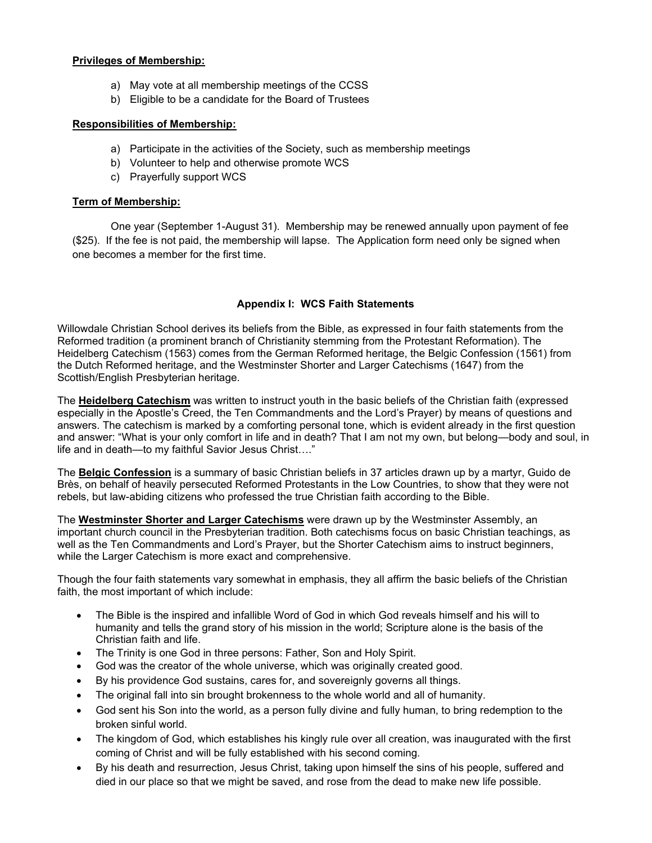#### **Privileges of Membership:**

- a) May vote at all membership meetings of the CCSS
- b) Eligible to be a candidate for the Board of Trustees

## **Responsibilities of Membership:**

- a) Participate in the activities of the Society, such as membership meetings
- b) Volunteer to help and otherwise promote WCS
- c) Prayerfully support WCS

# **Term of Membership:**

One year (September 1-August 31). Membership may be renewed annually upon payment of fee (\$25). If the fee is not paid, the membership will lapse. The Application form need only be signed when one becomes a member for the first time.

# **Appendix I: WCS Faith Statements**

Willowdale Christian School derives its beliefs from the Bible, as expressed in four faith statements from the Reformed tradition (a prominent branch of Christianity stemming from the Protestant Reformation). The Heidelberg Catechism (1563) comes from the German Reformed heritage, the Belgic Confession (1561) from the Dutch Reformed heritage, and the Westminster Shorter and Larger Catechisms (1647) from the Scottish/English Presbyterian heritage.

The **Heidelberg Catechism** was written to instruct youth in the basic beliefs of the Christian faith (expressed especially in the Apostle's Creed, the Ten Commandments and the Lord's Prayer) by means of questions and answers. The catechism is marked by a comforting personal tone, which is evident already in the first question and answer: "What is your only comfort in life and in death? That I am not my own, but belong—body and soul, in life and in death—to my faithful Savior Jesus Christ…."

The **Belgic Confession** is a summary of basic Christian beliefs in 37 articles drawn up by a martyr, Guido de Brès, on behalf of heavily persecuted Reformed Protestants in the Low Countries, to show that they were not rebels, but law-abiding citizens who professed the true Christian faith according to the Bible.

The **Westminster Shorter and Larger Catechisms** were drawn up by the Westminster Assembly, an important church council in the Presbyterian tradition. Both catechisms focus on basic Christian teachings, as well as the Ten Commandments and Lord's Prayer, but the Shorter Catechism aims to instruct beginners, while the Larger Catechism is more exact and comprehensive.

Though the four faith statements vary somewhat in emphasis, they all affirm the basic beliefs of the Christian faith, the most important of which include:

- The Bible is the inspired and infallible Word of God in which God reveals himself and his will to humanity and tells the grand story of his mission in the world; Scripture alone is the basis of the Christian faith and life.
- The Trinity is one God in three persons: Father, Son and Holy Spirit.
- God was the creator of the whole universe, which was originally created good.
- By his providence God sustains, cares for, and sovereignly governs all things.
- The original fall into sin brought brokenness to the whole world and all of humanity.
- God sent his Son into the world, as a person fully divine and fully human, to bring redemption to the broken sinful world.
- The kingdom of God, which establishes his kingly rule over all creation, was inaugurated with the first coming of Christ and will be fully established with his second coming.
- By his death and resurrection, Jesus Christ, taking upon himself the sins of his people, suffered and died in our place so that we might be saved, and rose from the dead to make new life possible.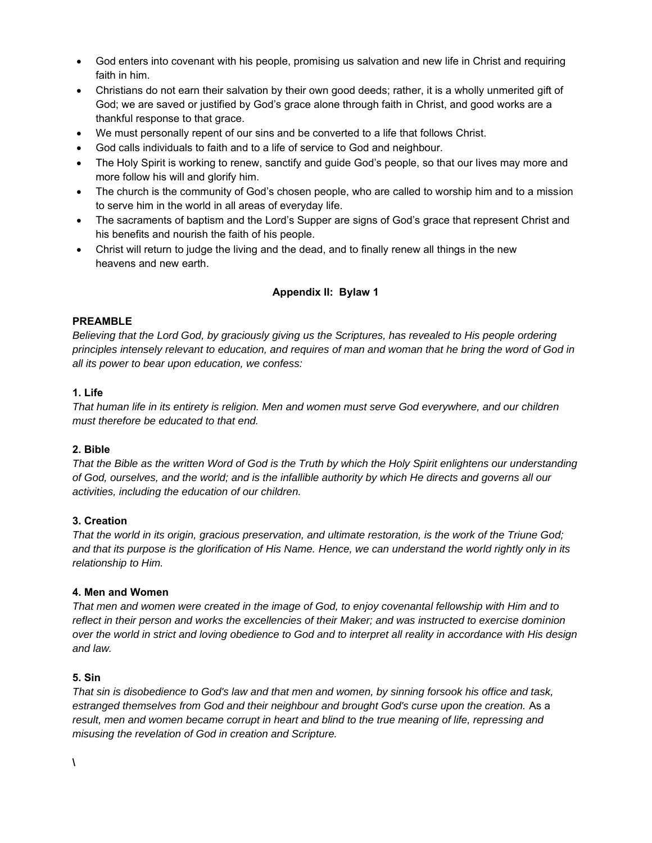- God enters into covenant with his people, promising us salvation and new life in Christ and requiring faith in him.
- Christians do not earn their salvation by their own good deeds; rather, it is a wholly unmerited gift of God; we are saved or justified by God's grace alone through faith in Christ, and good works are a thankful response to that grace.
- We must personally repent of our sins and be converted to a life that follows Christ.
- God calls individuals to faith and to a life of service to God and neighbour.
- The Holy Spirit is working to renew, sanctify and guide God's people, so that our lives may more and more follow his will and glorify him.
- The church is the community of God's chosen people, who are called to worship him and to a mission to serve him in the world in all areas of everyday life.
- The sacraments of baptism and the Lord's Supper are signs of God's grace that represent Christ and his benefits and nourish the faith of his people.
- Christ will return to judge the living and the dead, and to finally renew all things in the new heavens and new earth.

# **Appendix II: Bylaw 1**

# **PREAMBLE**

*Believing that the Lord God, by graciously giving us the Scriptures, has revealed to His people ordering principles intensely relevant to education, and requires of man and woman that he bring the word of God in all its power to bear upon education, we confess:*

# **1. Life**

*That human life in its entirety is religion. Men and women must serve God everywhere, and our children must therefore be educated to that end.*

# **2. Bible**

*That the Bible as the written Word of God is the Truth by which the Holy Spirit enlightens our understanding of God, ourselves, and the world; and is the infallible authority by which He directs and governs all our activities, including the education of our children.*

# **3. Creation**

*That the world in its origin, gracious preservation, and ultimate restoration, is the work of the Triune God; and that its purpose is the glorification of His Name. Hence, we can understand the world rightly only in its relationship to Him.*

#### **4. Men and Women**

*That men and women were created in the image of God, to enjoy covenantal fellowship with Him and to reflect in their person and works the excellencies of their Maker; and was instructed to exercise dominion over the world in strict and loving obedience to God and to interpret all reality in accordance with His design and law.*

#### **5. Sin**

*That sin is disobedience to God's law and that men and women, by sinning forsook his office and task,*  estranged themselves from God and their neighbour and brought God's curse upon the creation. As a *result, men and women became corrupt in heart and blind to the true meaning of life, repressing and misusing the revelation of God in creation and Scripture.*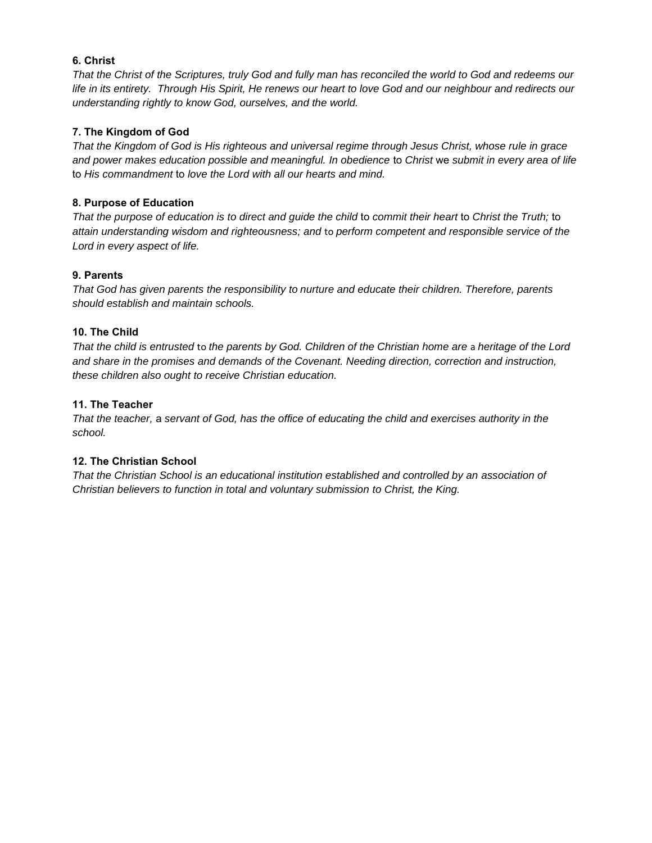## **6. Christ**

*That the Christ of the Scriptures, truly God and fully man has reconciled the world to God and redeems our life in its entirety. Through His Spirit, He renews our heart to love God and our neighbour and redirects our understanding rightly to know God, ourselves, and the world.*

## **7. The Kingdom of God**

*That the Kingdom of God is His righteous and universal regime through Jesus Christ, whose rule in grace and power makes education possible and meaningful. In obedience* to *Christ* we *submit in every area of life*  to *His commandment* to *love the Lord with all our hearts and mind.*

#### **8. Purpose of Education**

*That the purpose of education is to direct and guide the child* to *commit their heart* to *Christ the Truth;* to *attain understanding wisdom and righteousness; and* to *perform competent and responsible service of the Lord in every aspect of life.*

#### **9. Parents**

*That God has given parents the responsibility to nurture and educate their children. Therefore, parents should establish and maintain schools.*

#### **10. The Child**

*That the child is entrusted* to *the parents by God. Children of the Christian home are* a *heritage of the Lord and share in the promises and demands of the Covenant. Needing direction, correction and instruction, these children also ought to receive Christian education.*

#### **11. The Teacher**

*That the teacher,* a *servant of God, has the office of educating the child and exercises authority in the school.*

# **12. The Christian School**

*That the Christian School is an educational institution established and controlled by an association of Christian believers to function in total and voluntary submission to Christ, the King.*